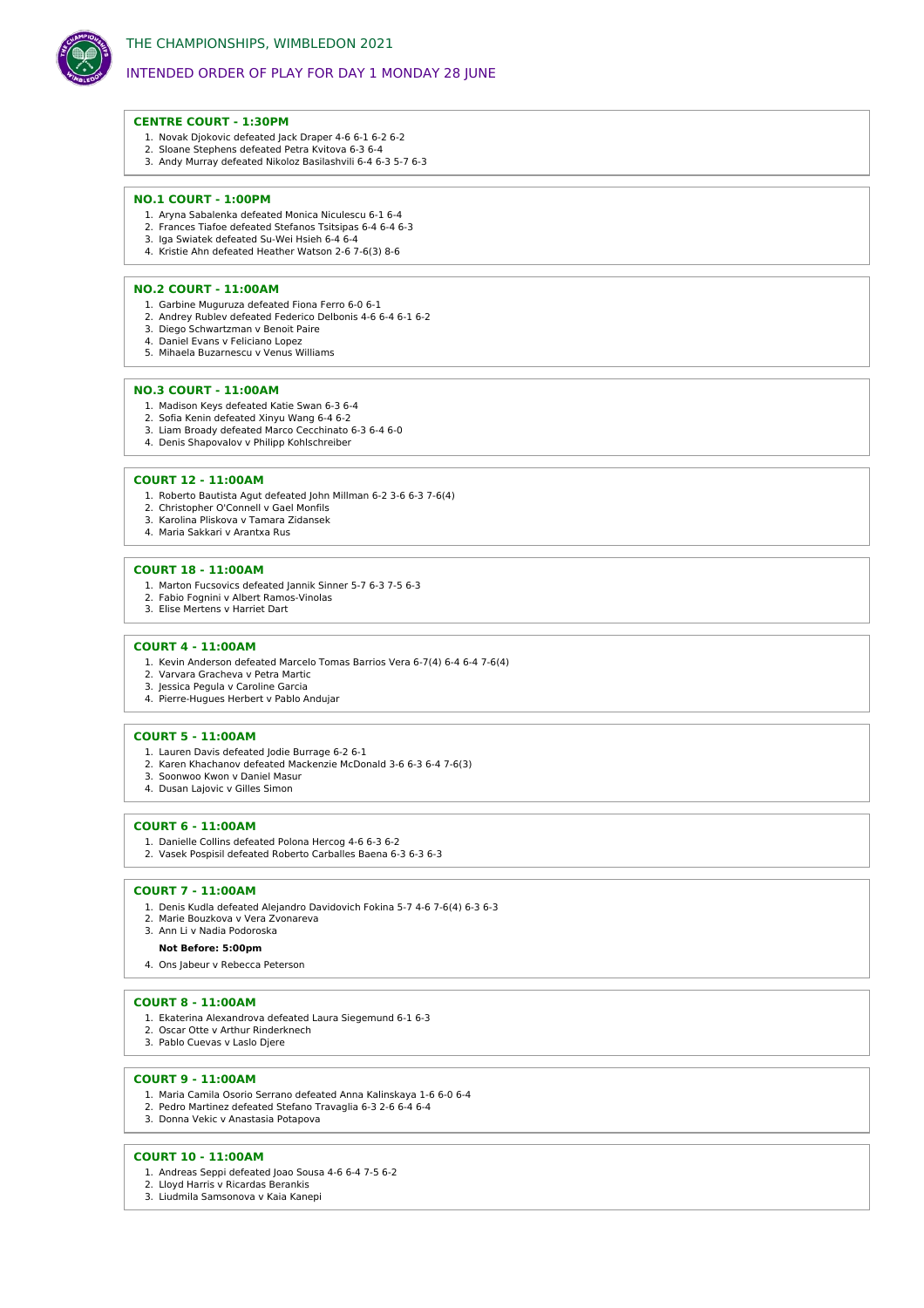

# INTENDED ORDER OF PLAY FOR DAY 1 MONDAY 28 JUNE

### **CENTRE COURT - 1:30PM**

- 1. Novak Djokovic defeated Jack Draper 4-6 6-1 6-2 6-2
- 2. Sloane Stephens defeated Petra Kvitova 6-3 6-4 3. Andy Murray defeated Nikoloz Basilashvili 6-4 6-3 5-7 6-3

### **NO.1 COURT - 1:00PM**

- 1. Aryna Sabalenka defeated Monica Niculescu 6-1 6-4
- 2. Frances Tiafoe defeated Stefanos Tsitsipas 6-4 6-4 6-3 3. Iga Swiatek defeated Su-Wei Hsieh 6-4 6-4
- 4. Kristie Ahn defeated Heather Watson 2-6 7-6(3) 8-6

### **NO.2 COURT - 11:00AM**

- 1. Garbine Muguruza defeated Fiona Ferro 6-0 6-1
- 2. Andrey Rublev defeated Federico Delbonis 4-6 6-4 6-1 6-2
- 3. Diego Schwartzman v Benoit Paire 4. Daniel Evans v Feliciano Lopez
- 5. Mihaela Buzarnescu v Venus Williams

### **NO.3 COURT - 11:00AM**

- 1. Madison Keys defeated Katie Swan 6-3 6-4
- 2. Sofia Kenin defeated Xinyu Wang 6-4 6-2
- 3. Liam Broady defeated Marco Cecchinato 6-3 6-4 6-0
- 4. Denis Shapovalov v Philipp Kohlschreiber

### **COURT 12 - 11:00AM**

- 1. Roberto Bautista Agut defeated John Millman 6-2 3-6 6-3 7-6(4)
- 2. Christopher O'Connell v Gael Monfils 3. Karolina Pliskova v Tamara Zidansek
- 4. Maria Sakkari v Arantxa Rus
- 

### **COURT 18 - 11:00AM**

- 1. Marton Fucsovics defeated Jannik Sinner 5-7 6-3 7-5 6-3
- 2. Fabio Fognini v Albert Ramos-Vinolas
- 3. Elise Mertens v Harriet Dart

## **COURT 4 - 11:00AM**

- 1. Kevin Anderson defeated Marcelo Tomas Barrios Vera 6-7(4) 6-4 6-4 7-6(4)
- 2. Varvara Gracheva v Petra Martic
- 3. Jessica Pegula v Caroline Garcia 4. Pierre-Hugues Herbert v Pablo Andujar
- 

## **COURT 5 - 11:00AM**

- 1. Lauren Davis defeated Jodie Burrage 6-2 6-1
- 2. Karen Khachanov defeated Mackenzie McDonald 3-6 6-3 6-4 7-6(3)
- 3. Soonwoo Kwon v Daniel Masur 4. Dusan Lajovic v Gilles Simon
- 

### **COURT 6 - 11:00AM**

- 1. Danielle Collins defeated Polona Hercog 4-6 6-3 6-2
- 2. Vasek Pospisil defeated Roberto Carballes Baena 6-3 6-3 6-3

### **COURT 7 - 11:00AM**

- 1. Denis Kudla defeated Alejandro Davidovich Fokina 5-7 4-6 7-6(4) 6-3 6-3 2. Marie Bouzkova v Vera Zvonareva
- 3. Ann Li v Nadia Podoroska

#### **Not Before: 5:00pm**

4. Ons Jabeur v Rebecca Peterson

### **COURT 8 - 11:00AM**

- 1. Ekaterina Alexandrova defeated Laura Siegemund 6-1 6-3
- 2. Oscar Otte v Arthur Rinderknech
- 3. Pablo Cuevas v Laslo Djere

## **COURT 9 - 11:00AM**

- 1. Maria Camila Osorio Serrano defeated Anna Kalinskaya 1-6 6-0 6-4
- 2. Pedro Martinez defeated Stefano Travaglia 6-3 2-6 6-4 6-4
- 3. Donna Vekic v Anastasia Potapova

## **COURT 10 - 11:00AM**

- 1. Andreas Seppi defeated Joao Sousa 4-6 6-4 7-5 6-2
- 2. Lloyd Harris v Ricardas Berankis
- 3. Liudmila Samsonova v Kaia Kanepi